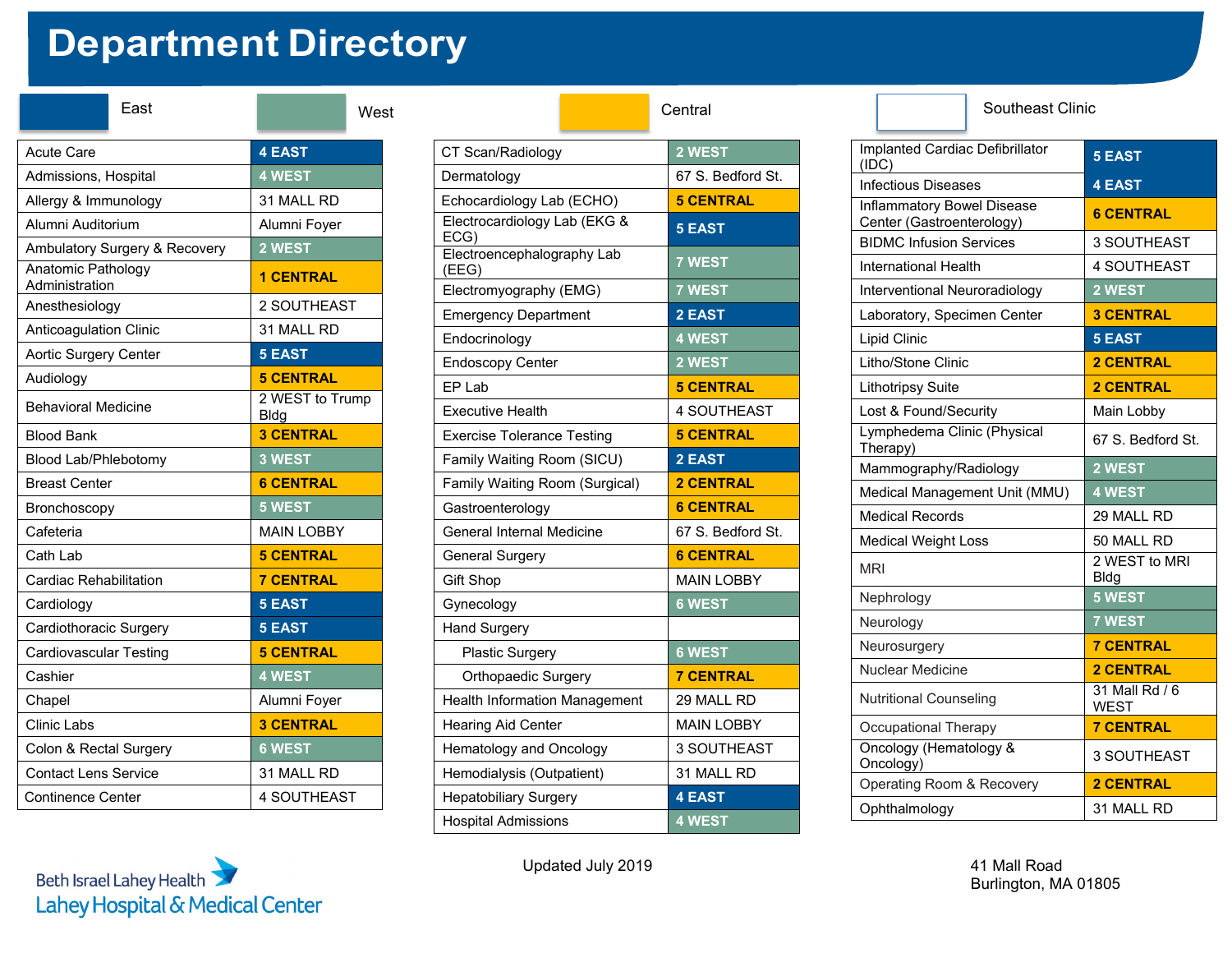## **Department Directory**

| East                                 | Wes                     |  |  |  |
|--------------------------------------|-------------------------|--|--|--|
| <b>Acute Care</b>                    | <b>4 EAST</b>           |  |  |  |
| Admissions, Hospital                 | 4 WEST                  |  |  |  |
| Allergy & Immunology                 | 31 MALL RD              |  |  |  |
| Alumni Auditorium                    | Alumni Foyer            |  |  |  |
| Ambulatory Surgery & Recovery        | 2 WEST                  |  |  |  |
| Anatomic Pathology<br>Administration | <b>1 CENTRAL</b>        |  |  |  |
| Anesthesiology                       | 2 SOUTHEAST             |  |  |  |
| Anticoagulation Clinic               | 31 MALL RD              |  |  |  |
| Aortic Surgery Center                | <b>5 EAST</b>           |  |  |  |
| Audiology                            | <b>5 CENTRAL</b>        |  |  |  |
| <b>Behavioral Medicine</b>           | 2 WEST to Trump<br>Bldg |  |  |  |
| <b>Blood Bank</b>                    | <b>3 CENTRAL</b>        |  |  |  |
| Blood Lab/Phlebotomy                 | 3 WEST                  |  |  |  |
| <b>Breast Center</b>                 | <b>6 CENTRAL</b>        |  |  |  |
| Bronchoscopy                         | <b>5 WEST</b>           |  |  |  |
| Cafeteria                            | <b>MAIN LOBBY</b>       |  |  |  |
| Cath Lab                             | <b>5 CENTRAL</b>        |  |  |  |
| Cardiac Rehabilitation               | <b>7 CENTRAL</b>        |  |  |  |
| Cardiology                           | <b>5 EAST</b>           |  |  |  |
| Cardiothoracic Surgery               | <b>5 EAST</b>           |  |  |  |
| <b>Cardiovascular Testing</b>        | <b>5 CENTRAL</b>        |  |  |  |
| Cashier                              | <b>4 WEST</b>           |  |  |  |
| Chapel                               | Alumni Foyer            |  |  |  |
| <b>Clinic Labs</b>                   | <b>3 CENTRAL</b>        |  |  |  |
| Colon & Rectal Surgery               | <b>6 WEST</b>           |  |  |  |
| <b>Contact Lens Service</b>          | 31 MALL RD              |  |  |  |
| Continence Center                    | <b>4 SOUTHEAST</b>      |  |  |  |

Beth Israel Lahey Health

Lahey Hospital & Medical Center

| East            | West                                |                                      | Central           | <b>Southeast Clinic</b>             |
|-----------------|-------------------------------------|--------------------------------------|-------------------|-------------------------------------|
|                 | <b>4 EAST</b>                       | CT Scan/Radiology                    | 2 WEST            | Implanted Cardiac Defibrillator     |
| spital          | 4 WEST                              | Dermatology                          | 67 S. Bedford St. | (IDC)<br><b>Infectious Diseases</b> |
| nology          | 31 MALL RD                          | Echocardiology Lab (ECHO)            | <b>5 CENTRAL</b>  | <b>Inflammatory Bowel Disease</b>   |
| um              | Alumni Foyer                        | Electrocardiology Lab (EKG &         | <b>5 EAST</b>     | Center (Gastroenterology)           |
| gery & Recovery | 2 WEST                              | ECG)<br>Electroencephalography Lab   |                   | <b>BIDMC Infusion Services</b>      |
| ypolo           | <b>1 CENTRAL</b>                    | (EEG)                                | 7 WEST            | <b>International Health</b>         |
|                 |                                     | Electromyography (EMG)               | <b>7 WEST</b>     | Interventional Neuroradiology       |
|                 | 2 SOUTHEAST                         | <b>Emergency Department</b>          | 2 EAST            | Laboratory, Specimen Center         |
| Clinic          | 31 MALL RD                          | Endocrinology                        | <b>4 WEST</b>     | Lipid Clinic                        |
| Center          | <b>5 EAST</b>                       | <b>Endoscopy Center</b>              | 2 WEST            | Litho/Stone Clinic                  |
|                 | <b>5 CENTRAL</b><br>2 WEST to Trump | EP Lab                               | <b>5 CENTRAL</b>  | <b>Lithotripsy Suite</b>            |
| licine          | <b>Bldg</b>                         | <b>Executive Health</b>              | 4 SOUTHEAST       | Lost & Found/Security               |
|                 | <b>3 CENTRAL</b>                    | <b>Exercise Tolerance Testing</b>    | <b>5 CENTRAL</b>  | Lymphedema Clinic (Physical         |
| botomy          | 3 WEST                              | Family Waiting Room (SICU)           | 2 EAST            | Therapy)<br>Mammography/Radiology   |
|                 | <b>6 CENTRAL</b>                    | Family Waiting Room (Surgical)       | <b>2 CENTRAL</b>  | Medical Management Unit (MMU)       |
|                 | 5 WEST                              | Gastroenterology                     | <b>6 CENTRAL</b>  | <b>Medical Records</b>              |
|                 | <b>MAIN LOBBY</b>                   | General Internal Medicine            | 67 S. Bedford St. | <b>Medical Weight Loss</b>          |
|                 | <b>5 CENTRAL</b>                    | <b>General Surgery</b>               | <b>6 CENTRAL</b>  |                                     |
| ilitation       | <b>7 CENTRAL</b>                    | Gift Shop                            | <b>MAIN LOBBY</b> | <b>MRI</b>                          |
|                 | <b>5 EAST</b>                       | Gynecology                           | <b>6 WEST</b>     | Nephrology                          |
| Surgery         | <b>5 EAST</b>                       | <b>Hand Surgery</b>                  |                   | Neurology                           |
| Testing         | <b>5 CENTRAL</b>                    | <b>Plastic Surgery</b>               | <b>6 WEST</b>     | Neurosurgery                        |
|                 | 4 WEST                              | Orthopaedic Surgery                  | <b>7 CENTRAL</b>  | Nuclear Medicine                    |
|                 | Alumni Foyer                        | <b>Health Information Management</b> | 29 MALL RD        | <b>Nutritional Counseling</b>       |
|                 | <b>3 CENTRAL</b>                    | <b>Hearing Aid Center</b>            | <b>MAIN LOBBY</b> | Occupational Therapy                |
| Surgery         | <b>6 WEST</b>                       | Hematology and Oncology              | 3 SOUTHEAST       | Oncology (Hematology &              |
| ervice          | 31 MALL RD                          | Hemodialysis (Outpatient)            | 31 MALL RD        | Oncology)                           |
| าter            | 4 SOUTHEAST                         | <b>Hepatobiliary Surgery</b>         | <b>4 EAST</b>     | Operating Room & Recovery           |
|                 |                                     | <b>Hospital Admissions</b>           | 4 WEST            | Ophthalmology                       |

## Implanted Cardiac Defibrillator (IDC) **5 EAST** Infectious Diseases **4 EAST** Inflammatory Bowel Disease Center (Gastroenterology) **6 CENTRAL** BIDMC Infusion Services | 3 SOUTHEAST International Health | 4 SOUTHEAST Interventional Neuroradiology **2 WEST** Laboratory, Specimen Center **3 CENTRAL** Lipid Clinic **5 EAST** Litho/Stone Clinic **2 CENTRAL** Lithotripsy Suite **2 CENTRAL** Lost & Found/Security | Main Lobby Lymphedema Clinic (Physical 67 S. Bedford St. Mammography/Radiology **2 WEST** Medical Management Unit (MMU) **4 WEST** Medical Records 29 MALL RD Medical Weight Loss 50 MALL RD MRI 2 WEST to MRI Bldg Nephrology **5 WEST** Neurology **7 WEST** Neurosurgery **7 CENTRAL** Nuclear Medicine **2 CENTRAL** Nutritional Counseling 131 Mall Rd / 6 WEST **Occupational Therapy 7 CENTRAL** Oncology (Hematology &

Oncology (Hernatology & 3 SOUTHEAST<br>Oncology) Operating Room & Recovery **2 CENTRAL** Ophthalmology 31 MALL RD